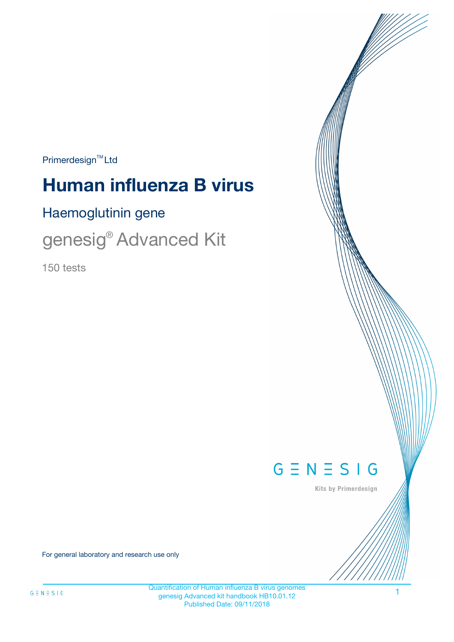$Primerdesign^{\text{TM}}Ltd$ 

# **Human influenza B virus**

Haemoglutinin gene

genesig<sup>®</sup> Advanced Kit

150 tests



Kits by Primerdesign

For general laboratory and research use only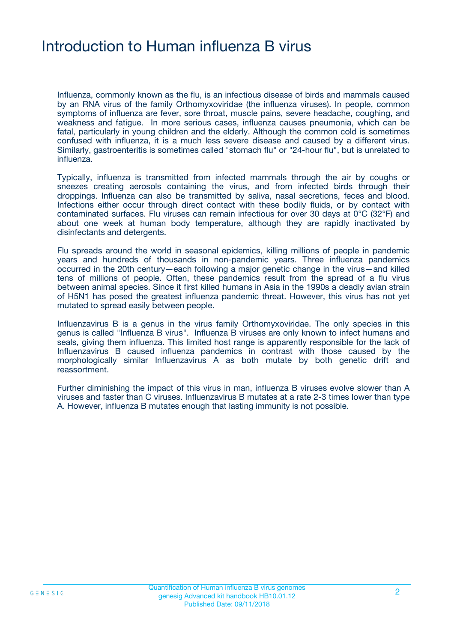### Introduction to Human influenza B virus

Influenza, commonly known as the flu, is an infectious disease of birds and mammals caused by an RNA virus of the family Orthomyxoviridae (the influenza viruses). In people, common symptoms of influenza are fever, sore throat, muscle pains, severe headache, coughing, and weakness and fatigue. In more serious cases, influenza causes pneumonia, which can be fatal, particularly in young children and the elderly. Although the common cold is sometimes confused with influenza, it is a much less severe disease and caused by a different virus. Similarly, gastroenteritis is sometimes called "stomach flu" or "24-hour flu", but is unrelated to influenza.

Typically, influenza is transmitted from infected mammals through the air by coughs or sneezes creating aerosols containing the virus, and from infected birds through their droppings. Influenza can also be transmitted by saliva, nasal secretions, feces and blood. Infections either occur through direct contact with these bodily fluids, or by contact with contaminated surfaces. Flu viruses can remain infectious for over 30 days at 0°C (32°F) and about one week at human body temperature, although they are rapidly inactivated by disinfectants and detergents.

Flu spreads around the world in seasonal epidemics, killing millions of people in pandemic years and hundreds of thousands in non-pandemic years. Three influenza pandemics occurred in the 20th century—each following a major genetic change in the virus—and killed tens of millions of people. Often, these pandemics result from the spread of a flu virus between animal species. Since it first killed humans in Asia in the 1990s a deadly avian strain of H5N1 has posed the greatest influenza pandemic threat. However, this virus has not yet mutated to spread easily between people.

Influenzavirus B is a genus in the virus family Orthomyxoviridae. The only species in this genus is called "Influenza B virus". Influenza B viruses are only known to infect humans and seals, giving them influenza. This limited host range is apparently responsible for the lack of Influenzavirus B caused influenza pandemics in contrast with those caused by the morphologically similar Influenzavirus A as both mutate by both genetic drift and reassortment.

Further diminishing the impact of this virus in man, influenza B viruses evolve slower than A viruses and faster than C viruses. Influenzavirus B mutates at a rate 2-3 times lower than type A. However, influenza B mutates enough that lasting immunity is not possible.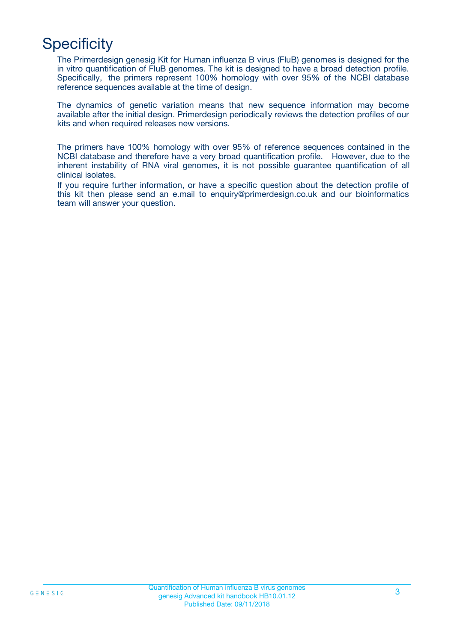# **Specificity**

The Primerdesign genesig Kit for Human influenza B virus (FluB) genomes is designed for the in vitro quantification of FluB genomes. The kit is designed to have a broad detection profile. Specifically, the primers represent 100% homology with over 95% of the NCBI database reference sequences available at the time of design.

The dynamics of genetic variation means that new sequence information may become available after the initial design. Primerdesign periodically reviews the detection profiles of our kits and when required releases new versions.

The primers have 100% homology with over 95% of reference sequences contained in the NCBI database and therefore have a very broad quantification profile. However, due to the inherent instability of RNA viral genomes, it is not possible guarantee quantification of all clinical isolates.

If you require further information, or have a specific question about the detection profile of this kit then please send an e.mail to enquiry@primerdesign.co.uk and our bioinformatics team will answer your question.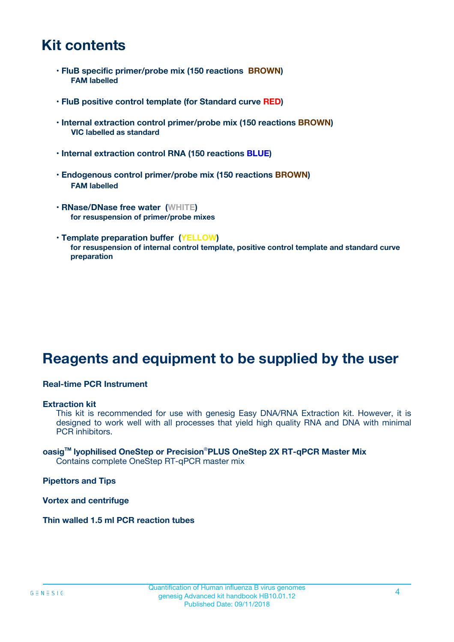### **Kit contents**

- **FluB specific primer/probe mix (150 reactions BROWN) FAM labelled**
- **FluB positive control template (for Standard curve RED)**
- **Internal extraction control primer/probe mix (150 reactions BROWN) VIC labelled as standard**
- **Internal extraction control RNA (150 reactions BLUE)**
- **Endogenous control primer/probe mix (150 reactions BROWN) FAM labelled**
- **RNase/DNase free water (WHITE) for resuspension of primer/probe mixes**
- **Template preparation buffer (YELLOW) for resuspension of internal control template, positive control template and standard curve preparation**

### **Reagents and equipment to be supplied by the user**

#### **Real-time PCR Instrument**

#### **Extraction kit**

This kit is recommended for use with genesig Easy DNA/RNA Extraction kit. However, it is designed to work well with all processes that yield high quality RNA and DNA with minimal PCR inhibitors.

#### **oasigTM lyophilised OneStep or Precision**®**PLUS OneStep 2X RT-qPCR Master Mix** Contains complete OneStep RT-qPCR master mix

**Pipettors and Tips**

**Vortex and centrifuge**

**Thin walled 1.5 ml PCR reaction tubes**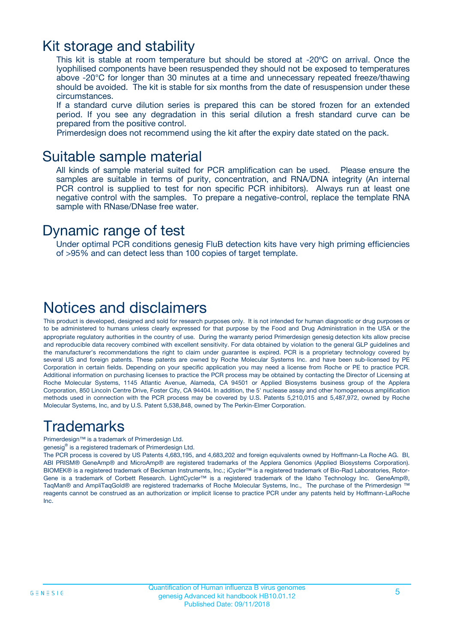### Kit storage and stability

This kit is stable at room temperature but should be stored at -20ºC on arrival. Once the lyophilised components have been resuspended they should not be exposed to temperatures above -20°C for longer than 30 minutes at a time and unnecessary repeated freeze/thawing should be avoided. The kit is stable for six months from the date of resuspension under these circumstances.

If a standard curve dilution series is prepared this can be stored frozen for an extended period. If you see any degradation in this serial dilution a fresh standard curve can be prepared from the positive control.

Primerdesign does not recommend using the kit after the expiry date stated on the pack.

### Suitable sample material

All kinds of sample material suited for PCR amplification can be used. Please ensure the samples are suitable in terms of purity, concentration, and RNA/DNA integrity (An internal PCR control is supplied to test for non specific PCR inhibitors). Always run at least one negative control with the samples. To prepare a negative-control, replace the template RNA sample with RNase/DNase free water.

### Dynamic range of test

Under optimal PCR conditions genesig FluB detection kits have very high priming efficiencies of >95% and can detect less than 100 copies of target template.

### Notices and disclaimers

This product is developed, designed and sold for research purposes only. It is not intended for human diagnostic or drug purposes or to be administered to humans unless clearly expressed for that purpose by the Food and Drug Administration in the USA or the appropriate regulatory authorities in the country of use. During the warranty period Primerdesign genesig detection kits allow precise and reproducible data recovery combined with excellent sensitivity. For data obtained by violation to the general GLP guidelines and the manufacturer's recommendations the right to claim under guarantee is expired. PCR is a proprietary technology covered by several US and foreign patents. These patents are owned by Roche Molecular Systems Inc. and have been sub-licensed by PE Corporation in certain fields. Depending on your specific application you may need a license from Roche or PE to practice PCR. Additional information on purchasing licenses to practice the PCR process may be obtained by contacting the Director of Licensing at Roche Molecular Systems, 1145 Atlantic Avenue, Alameda, CA 94501 or Applied Biosystems business group of the Applera Corporation, 850 Lincoln Centre Drive, Foster City, CA 94404. In addition, the 5' nuclease assay and other homogeneous amplification methods used in connection with the PCR process may be covered by U.S. Patents 5,210,015 and 5,487,972, owned by Roche Molecular Systems, Inc, and by U.S. Patent 5,538,848, owned by The Perkin-Elmer Corporation.

### Trademarks

Primerdesign™ is a trademark of Primerdesign Ltd.

genesig® is a registered trademark of Primerdesign Ltd.

The PCR process is covered by US Patents 4,683,195, and 4,683,202 and foreign equivalents owned by Hoffmann-La Roche AG. BI, ABI PRISM® GeneAmp® and MicroAmp® are registered trademarks of the Applera Genomics (Applied Biosystems Corporation). BIOMEK® is a registered trademark of Beckman Instruments, Inc.; iCycler™ is a registered trademark of Bio-Rad Laboratories, Rotor-Gene is a trademark of Corbett Research. LightCycler™ is a registered trademark of the Idaho Technology Inc. GeneAmp®, TaqMan® and AmpliTaqGold® are registered trademarks of Roche Molecular Systems, Inc., The purchase of the Primerdesign ™ reagents cannot be construed as an authorization or implicit license to practice PCR under any patents held by Hoffmann-LaRoche Inc.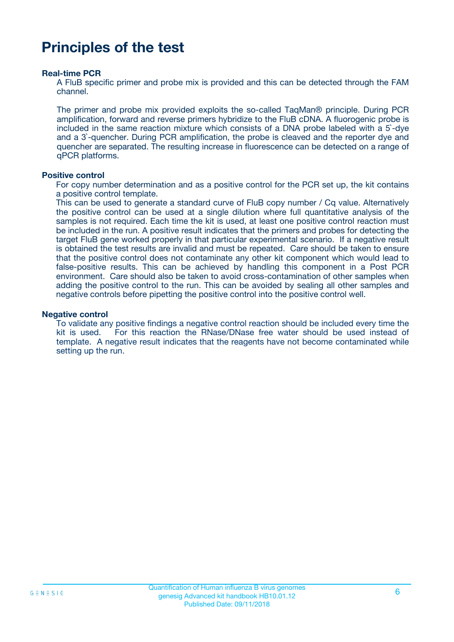### **Principles of the test**

#### **Real-time PCR**

A FluB specific primer and probe mix is provided and this can be detected through the FAM channel.

The primer and probe mix provided exploits the so-called TaqMan® principle. During PCR amplification, forward and reverse primers hybridize to the FluB cDNA. A fluorogenic probe is included in the same reaction mixture which consists of a DNA probe labeled with a 5`-dye and a 3`-quencher. During PCR amplification, the probe is cleaved and the reporter dye and quencher are separated. The resulting increase in fluorescence can be detected on a range of qPCR platforms.

#### **Positive control**

For copy number determination and as a positive control for the PCR set up, the kit contains a positive control template.

This can be used to generate a standard curve of FluB copy number / Cq value. Alternatively the positive control can be used at a single dilution where full quantitative analysis of the samples is not required. Each time the kit is used, at least one positive control reaction must be included in the run. A positive result indicates that the primers and probes for detecting the target FluB gene worked properly in that particular experimental scenario. If a negative result is obtained the test results are invalid and must be repeated. Care should be taken to ensure that the positive control does not contaminate any other kit component which would lead to false-positive results. This can be achieved by handling this component in a Post PCR environment. Care should also be taken to avoid cross-contamination of other samples when adding the positive control to the run. This can be avoided by sealing all other samples and negative controls before pipetting the positive control into the positive control well.

#### **Negative control**

To validate any positive findings a negative control reaction should be included every time the kit is used. For this reaction the RNase/DNase free water should be used instead of template. A negative result indicates that the reagents have not become contaminated while setting up the run.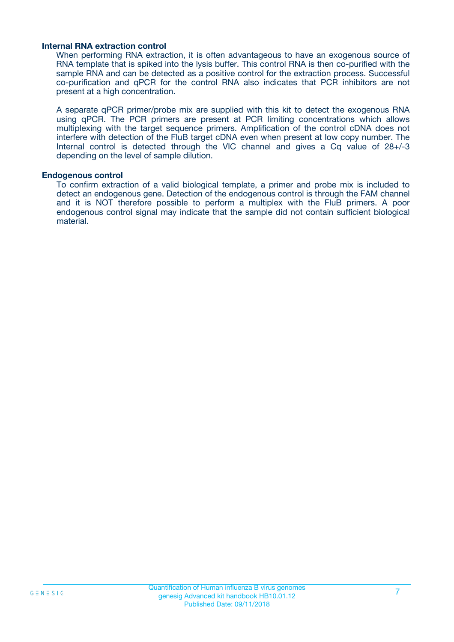#### **Internal RNA extraction control**

When performing RNA extraction, it is often advantageous to have an exogenous source of RNA template that is spiked into the lysis buffer. This control RNA is then co-purified with the sample RNA and can be detected as a positive control for the extraction process. Successful co-purification and qPCR for the control RNA also indicates that PCR inhibitors are not present at a high concentration.

A separate qPCR primer/probe mix are supplied with this kit to detect the exogenous RNA using qPCR. The PCR primers are present at PCR limiting concentrations which allows multiplexing with the target sequence primers. Amplification of the control cDNA does not interfere with detection of the FluB target cDNA even when present at low copy number. The Internal control is detected through the VIC channel and gives a Cq value of 28+/-3 depending on the level of sample dilution.

#### **Endogenous control**

To confirm extraction of a valid biological template, a primer and probe mix is included to detect an endogenous gene. Detection of the endogenous control is through the FAM channel and it is NOT therefore possible to perform a multiplex with the FluB primers. A poor endogenous control signal may indicate that the sample did not contain sufficient biological material.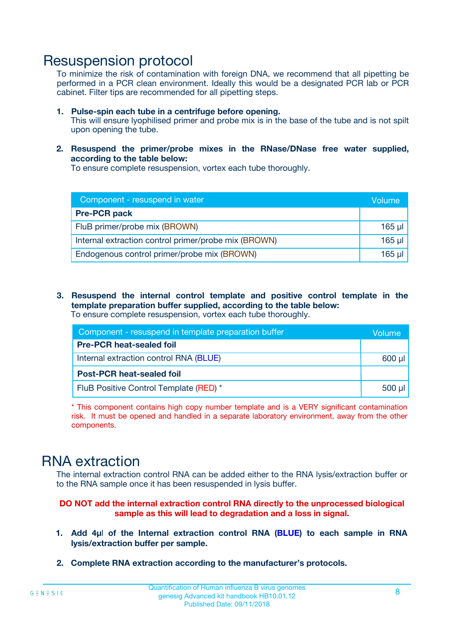### Resuspension protocol

To minimize the risk of contamination with foreign DNA, we recommend that all pipetting be performed in a PCR clean environment. Ideally this would be a designated PCR lab or PCR cabinet. Filter tips are recommended for all pipetting steps.

- **1. Pulse-spin each tube in a centrifuge before opening.** This will ensure lyophilised primer and probe mix is in the base of the tube and is not spilt upon opening the tube.
- **2. Resuspend the primer/probe mixes in the RNase/DNase free water supplied, according to the table below:**

To ensure complete resuspension, vortex each tube thoroughly.

| Component - resuspend in water                       |          |  |
|------------------------------------------------------|----------|--|
| <b>Pre-PCR pack</b>                                  |          |  |
| FluB primer/probe mix (BROWN)                        | $165$ µl |  |
| Internal extraction control primer/probe mix (BROWN) | $165$ µl |  |
| Endogenous control primer/probe mix (BROWN)          | 165 µl   |  |

**3. Resuspend the internal control template and positive control template in the template preparation buffer supplied, according to the table below:** To ensure complete resuspension, vortex each tube thoroughly.

| Component - resuspend in template preparation buffer |             |  |  |
|------------------------------------------------------|-------------|--|--|
| <b>Pre-PCR heat-sealed foil</b>                      |             |  |  |
| Internal extraction control RNA (BLUE)               |             |  |  |
| <b>Post-PCR heat-sealed foil</b>                     |             |  |  |
| FluB Positive Control Template (RED) *               | $500$ $\mu$ |  |  |

\* This component contains high copy number template and is a VERY significant contamination risk. It must be opened and handled in a separate laboratory environment, away from the other components.

### RNA extraction

The internal extraction control RNA can be added either to the RNA lysis/extraction buffer or to the RNA sample once it has been resuspended in lysis buffer.

#### **DO NOT add the internal extraction control RNA directly to the unprocessed biological sample as this will lead to degradation and a loss in signal.**

- **1. Add 4µ**l **of the Internal extraction control RNA (BLUE) to each sample in RNA lysis/extraction buffer per sample.**
- **2. Complete RNA extraction according to the manufacturer's protocols.**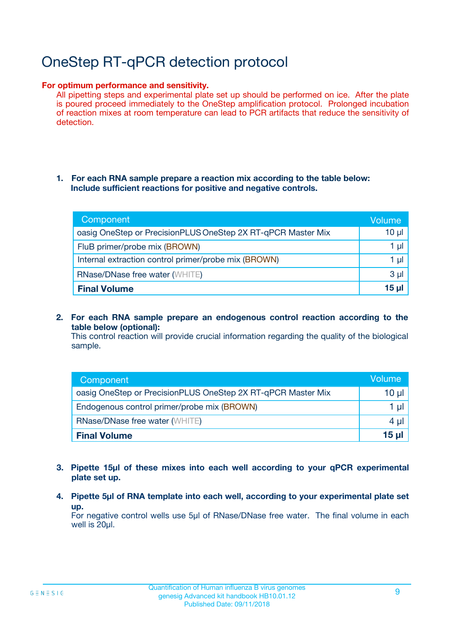# OneStep RT-qPCR detection protocol

#### **For optimum performance and sensitivity.**

All pipetting steps and experimental plate set up should be performed on ice. After the plate is poured proceed immediately to the OneStep amplification protocol. Prolonged incubation of reaction mixes at room temperature can lead to PCR artifacts that reduce the sensitivity of detection.

#### **1. For each RNA sample prepare a reaction mix according to the table below: Include sufficient reactions for positive and negative controls.**

| Component                                                    | Volume   |
|--------------------------------------------------------------|----------|
| oasig OneStep or PrecisionPLUS OneStep 2X RT-qPCR Master Mix | $10 \mu$ |
| FluB primer/probe mix (BROWN)                                | 1 µI     |
| Internal extraction control primer/probe mix (BROWN)         | 1 µl     |
| <b>RNase/DNase free water (WHITE)</b>                        | $3 \mu$  |
| <b>Final Volume</b>                                          | 15 µl    |

**2. For each RNA sample prepare an endogenous control reaction according to the table below (optional):**

This control reaction will provide crucial information regarding the quality of the biological sample.

| Component                                                    | Volume          |
|--------------------------------------------------------------|-----------------|
| oasig OneStep or PrecisionPLUS OneStep 2X RT-qPCR Master Mix | 10 µl           |
| Endogenous control primer/probe mix (BROWN)                  | 1 µl            |
| <b>RNase/DNase free water (WHITE)</b>                        | $4 \mu$         |
| <b>Final Volume</b>                                          | $15$ µl $\vert$ |

- **3. Pipette 15µl of these mixes into each well according to your qPCR experimental plate set up.**
- **4. Pipette 5µl of RNA template into each well, according to your experimental plate set up.**

For negative control wells use 5µl of RNase/DNase free water. The final volume in each well is 20µl.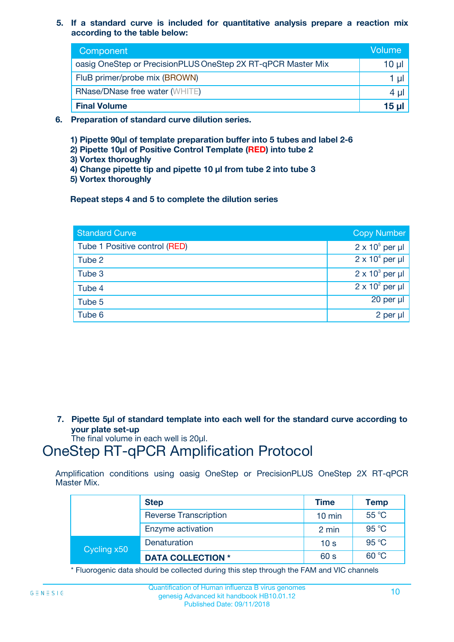**5. If a standard curve is included for quantitative analysis prepare a reaction mix according to the table below:**

| Component                                                    | Volume       |
|--------------------------------------------------------------|--------------|
| oasig OneStep or PrecisionPLUS OneStep 2X RT-qPCR Master Mix | $10 \mu$     |
| FluB primer/probe mix (BROWN)                                |              |
| <b>RNase/DNase free water (WHITE)</b>                        | 4 µ          |
| <b>Final Volume</b>                                          | <u>15 µl</u> |

- **6. Preparation of standard curve dilution series.**
	- **1) Pipette 90µl of template preparation buffer into 5 tubes and label 2-6**
	- **2) Pipette 10µl of Positive Control Template (RED) into tube 2**
	- **3) Vortex thoroughly**
	- **4) Change pipette tip and pipette 10 µl from tube 2 into tube 3**
	- **5) Vortex thoroughly**

**Repeat steps 4 and 5 to complete the dilution series**

| <b>Standard Curve</b>         | <b>Copy Number</b>     |
|-------------------------------|------------------------|
| Tube 1 Positive control (RED) | $2 \times 10^5$ per µl |
| Tube 2                        | $2 \times 10^4$ per µl |
| Tube 3                        | $2 \times 10^3$ per µl |
| Tube 4                        | $2 \times 10^2$ per µl |
| Tube 5                        | 20 per µl              |
| Tube 6                        | $2$ per $\mu$          |

**7. Pipette 5µl of standard template into each well for the standard curve according to your plate set-up**

The final volume in each well is 20µl.

### OneStep RT-qPCR Amplification Protocol

Amplification conditions using oasig OneStep or PrecisionPLUS OneStep 2X RT-qPCR Master Mix.

|             | <b>Step</b>                  | <b>Time</b>      | <b>Temp</b> |
|-------------|------------------------------|------------------|-------------|
|             | <b>Reverse Transcription</b> | $10 \text{ min}$ | 55 °C       |
|             | Enzyme activation            | 2 min            | 95 °C       |
| Cycling x50 | Denaturation                 | 10 <sub>s</sub>  | 95 °C       |
|             | <b>DATA COLLECTION *</b>     | 60 s             | 60 °C       |

\* Fluorogenic data should be collected during this step through the FAM and VIC channels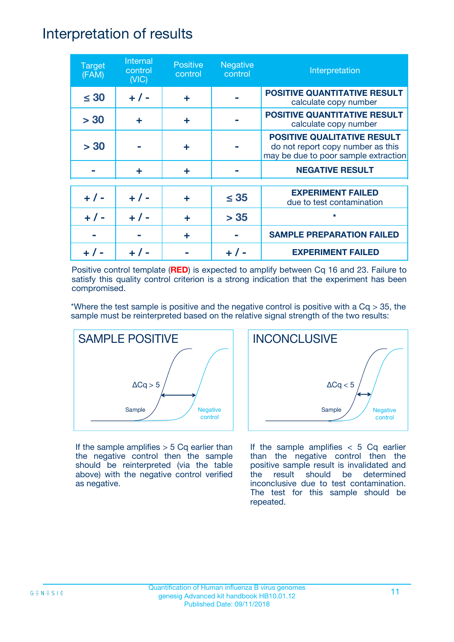### Interpretation of results

| <b>Target</b><br>(FAM) | Internal<br>control<br>(NIC) | <b>Positive</b><br>control | <b>Negative</b><br>control | Interpretation                                                                                                  |
|------------------------|------------------------------|----------------------------|----------------------------|-----------------------------------------------------------------------------------------------------------------|
| $\leq 30$              | $+ 1 -$                      | ÷                          |                            | <b>POSITIVE QUANTITATIVE RESULT</b><br>calculate copy number                                                    |
| > 30                   | ٠                            | ÷                          |                            | <b>POSITIVE QUANTITATIVE RESULT</b><br>calculate copy number                                                    |
| > 30                   |                              | ÷                          |                            | <b>POSITIVE QUALITATIVE RESULT</b><br>do not report copy number as this<br>may be due to poor sample extraction |
|                        | ÷                            | ÷                          |                            | <b>NEGATIVE RESULT</b>                                                                                          |
| $+ 1 -$                | $+ 1 -$                      | ÷                          | $\leq$ 35                  | <b>EXPERIMENT FAILED</b><br>due to test contamination                                                           |
| $+ 1 -$                | $+ 1 -$                      | ÷                          | > 35                       | $\star$                                                                                                         |
|                        |                              | ÷                          |                            | <b>SAMPLE PREPARATION FAILED</b>                                                                                |
|                        |                              |                            |                            | <b>EXPERIMENT FAILED</b>                                                                                        |

Positive control template (**RED**) is expected to amplify between Cq 16 and 23. Failure to satisfy this quality control criterion is a strong indication that the experiment has been compromised.

\*Where the test sample is positive and the negative control is positive with a  $Cq > 35$ , the sample must be reinterpreted based on the relative signal strength of the two results:



If the sample amplifies  $> 5$  Cq earlier than the negative control then the sample should be reinterpreted (via the table above) with the negative control verified as negative.



If the sample amplifies  $< 5$  Cq earlier than the negative control then the positive sample result is invalidated and the result should be determined inconclusive due to test contamination. The test for this sample should be repeated.